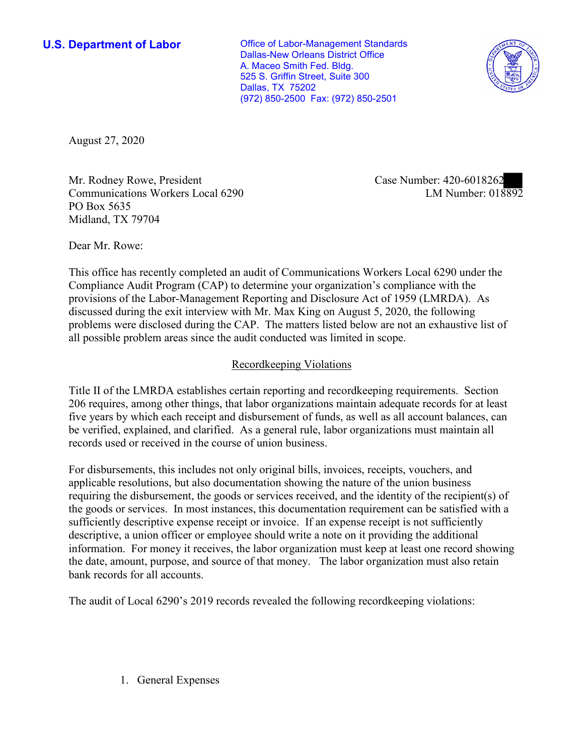**U.S. Department of Labor Conservative Conservative Conservative U.S. Department of Labor** Dallas-New Orleans District Office A. Maceo Smith Fed. Bldg. 525 S. Griffin Street, Suite 300 Dallas, TX 75202 (972) 850-2500 Fax: (972) 850-2501



August 27, 2020

Mr. Rodney Rowe, President Communications Workers Local 6290 PO Box 5635 Midland, TX 79704

Case Number: 420-6018262<br>LM Number: 018892

Dear Mr. Rowe:

 This office has recently completed an audit of Communications Workers Local 6290 under the Compliance Audit Program (CAP) to determine your organization's compliance with the provisions of the Labor-Management Reporting and Disclosure Act of 1959 (LMRDA). As discussed during the exit interview with Mr. Max King on August 5, 2020, the following problems were disclosed during the CAP. The matters listed below are not an exhaustive list of all possible problem areas since the audit conducted was limited in scope.

## Recordkeeping Violations

 Title II of the LMRDA establishes certain reporting and recordkeeping requirements. Section 206 requires, among other things, that labor organizations maintain adequate records for at least five years by which each receipt and disbursement of funds, as well as all account balances, can be verified, explained, and clarified. As a general rule, labor organizations must maintain all records used or received in the course of union business.

For disbursements, this includes not only original bills, invoices, receipts, vouchers, and applicable resolutions, but also documentation showing the nature of the union business requiring the disbursement, the goods or services received, and the identity of the recipient(s) of the goods or services. In most instances, this documentation requirement can be satisfied with a sufficiently descriptive expense receipt or invoice. If an expense receipt is not sufficiently descriptive, a union officer or employee should write a note on it providing the additional information. For money it receives, the labor organization must keep at least one record showing the date, amount, purpose, and source of that money. The labor organization must also retain bank records for all accounts.

The audit of Local 6290's 2019 records revealed the following recordkeeping violations:

1. General Expenses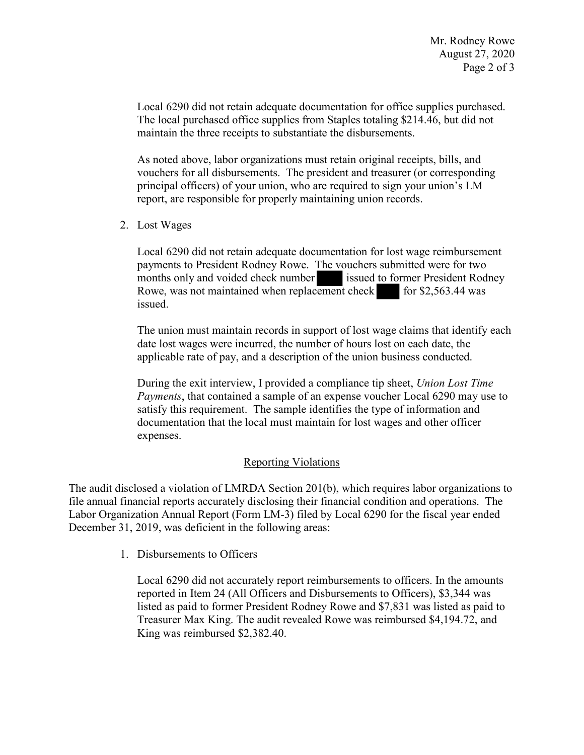maintain the three receipts to substantiate the disbursements. Local 6290 did not retain adequate documentation for office supplies purchased. The local purchased office supplies from Staples totaling \$214.46, but did not

As noted above, labor organizations must retain original receipts, bills, and vouchers for all disbursements. The president and treasurer (or corresponding principal officers) of your union, who are required to sign your union's LM report, are responsible for properly maintaining union records.

2. Lost Wages

payments to President Rodney Rowe. The vouchers submitted were for two<br>months only and voided check number<br>Rowe, was not maintained when replacement check<br>issued. Local 6290 did not retain adequate documentation for lost wage reimbursement months only and voided check number issued to former President Rodney Rowe, was not maintained when replacement check for  $$2,563.44$  was issued.

The union must maintain records in support of lost wage claims that identify each date lost wages were incurred, the number of hours lost on each date, the applicable rate of pay, and a description of the union business conducted.

 satisfy this requirement. The sample identifies the type of information and During the exit interview, I provided a compliance tip sheet, *Union Lost Time Payments*, that contained a sample of an expense voucher Local 6290 may use to documentation that the local must maintain for lost wages and other officer expenses.

## Reporting Violations

 Labor Organization Annual Report (Form LM-3) filed by Local 6290 for the fiscal year ended December 31, 2019, was deficient in the following areas:<br>1. Disbursements to Officers The audit disclosed a violation of LMRDA Section 201(b), which requires labor organizations to file annual financial reports accurately disclosing their financial condition and operations. The

 Local 6290 did not accurately report reimbursements to officers. In the amounts reported in Item 24 (All Officers and Disbursements to Officers), \$3,344 was listed as paid to former President Rodney Rowe and \$7,831 was listed as paid to Treasurer Max King. The audit revealed Rowe was reimbursed \$[4,194.72,](https://4,194.72) and King was reimbursed [\\$2,382.40.](https://2,382.40)